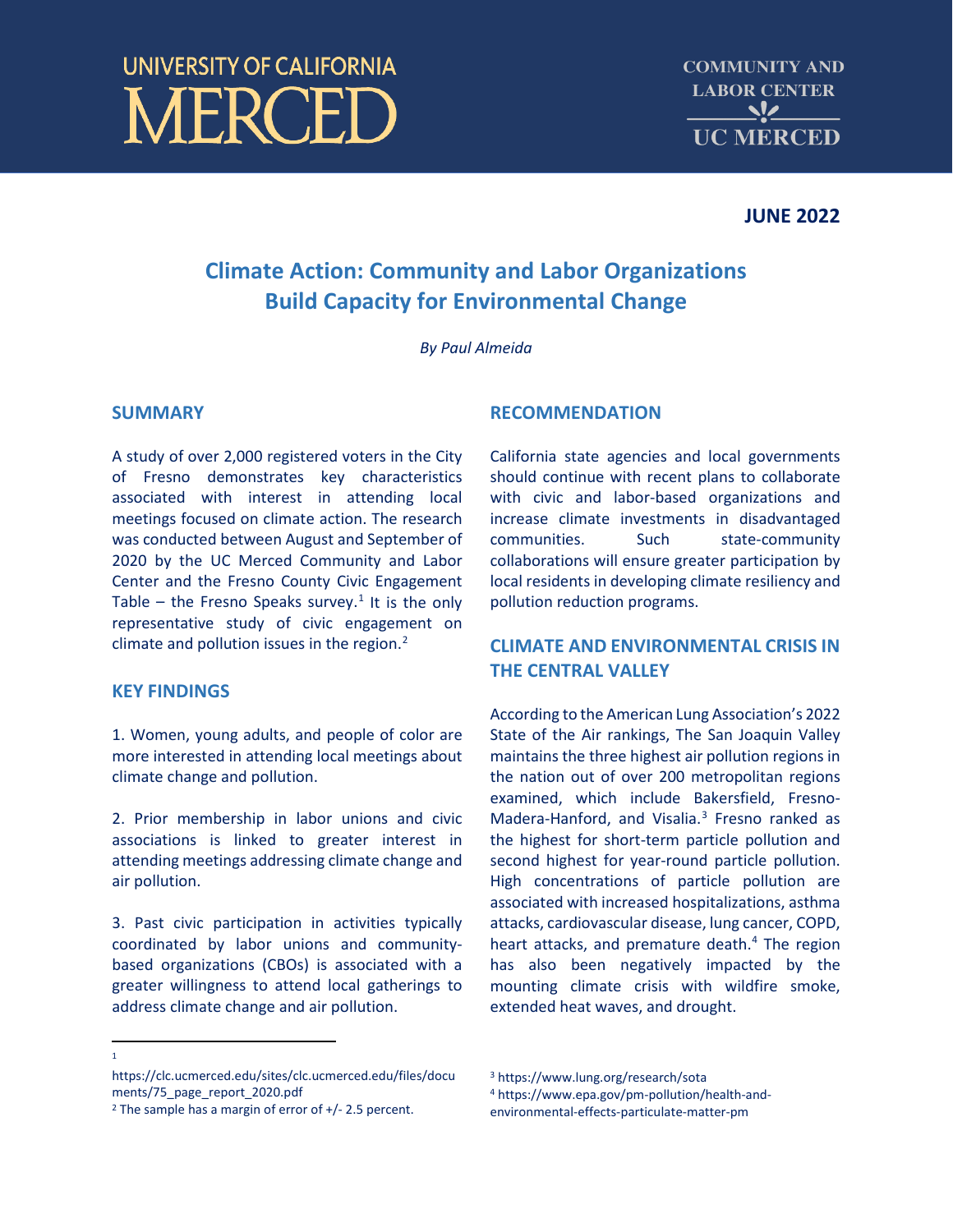# **UNIVERSITY OF CALIFORNIA JERCEI**

## **JUNE 2022**

# **Climate Action: Community and Labor Organizations Build Capacity for Environmental Change**

*By Paul Almeida*

#### **SUMMARY**

A study of over 2,000 registered voters in the City of Fresno demonstrates key characteristics associated with interest in attending local meetings focused on climate action. The research was conducted between August and September of 2020 by the UC Merced Community and Labor Center and the Fresno County Civic Engagement Table – the Fresno Speaks survey.<sup>[1](#page-0-0)</sup> It is the only representative study of civic engagement on climate and pollution issues in the region. $2$ 

#### **KEY FINDINGS**

1. Women, young adults, and people of color are more interested in attending local meetings about climate change and pollution.

2. Prior membership in labor unions and civic associations is linked to greater interest in attending meetings addressing climate change and air pollution.

3. Past civic participation in activities typically coordinated by labor unions and communitybased organizations (CBOs) is associated with a greater willingness to attend local gatherings to address climate change and air pollution.

#### **RECOMMENDATION**

California state agencies and local governments should continue with recent plans to collaborate with civic and labor-based organizations and increase climate investments in disadvantaged communities. Such state-community collaborations will ensure greater participation by local residents in developing climate resiliency and pollution reduction programs.

## **CLIMATE AND ENVIRONMENTAL CRISIS IN THE CENTRAL VALLEY**

According to the American Lung Association's 2022 State of the Air rankings, The San Joaquin Valley maintains the three highest air pollution regions in the nation out of over 200 metropolitan regions examined, which include Bakersfield, Fresno-Madera-Hanford, and Visalia.<sup>[3](#page-0-0)</sup> Fresno ranked as the highest for short-term particle pollution and second highest for year-round particle pollution. High concentrations of particle pollution are associated with increased hospitalizations, asthma attacks, cardiovascular disease, lung cancer, COPD, heart attacks, and premature death.<sup>4</sup> The region has also been negatively impacted by the mounting climate crisis with wildfire smoke, extended heat waves, and drought.

<span id="page-0-0"></span>https://clc.ucmerced.edu/sites/clc.ucmerced.edu/files/docu ments/75\_page\_report\_2020.pdf

<sup>4</sup> https://www.epa.gov/pm-pollution/health-andenvironmental-effects-particulate-matter-pm

<sup>1</sup>

<span id="page-0-2"></span><span id="page-0-1"></span><sup>&</sup>lt;sup>2</sup> The sample has a margin of error of  $+/-$  2.5 percent.

<sup>3</sup> https://www.lung.org/research/sota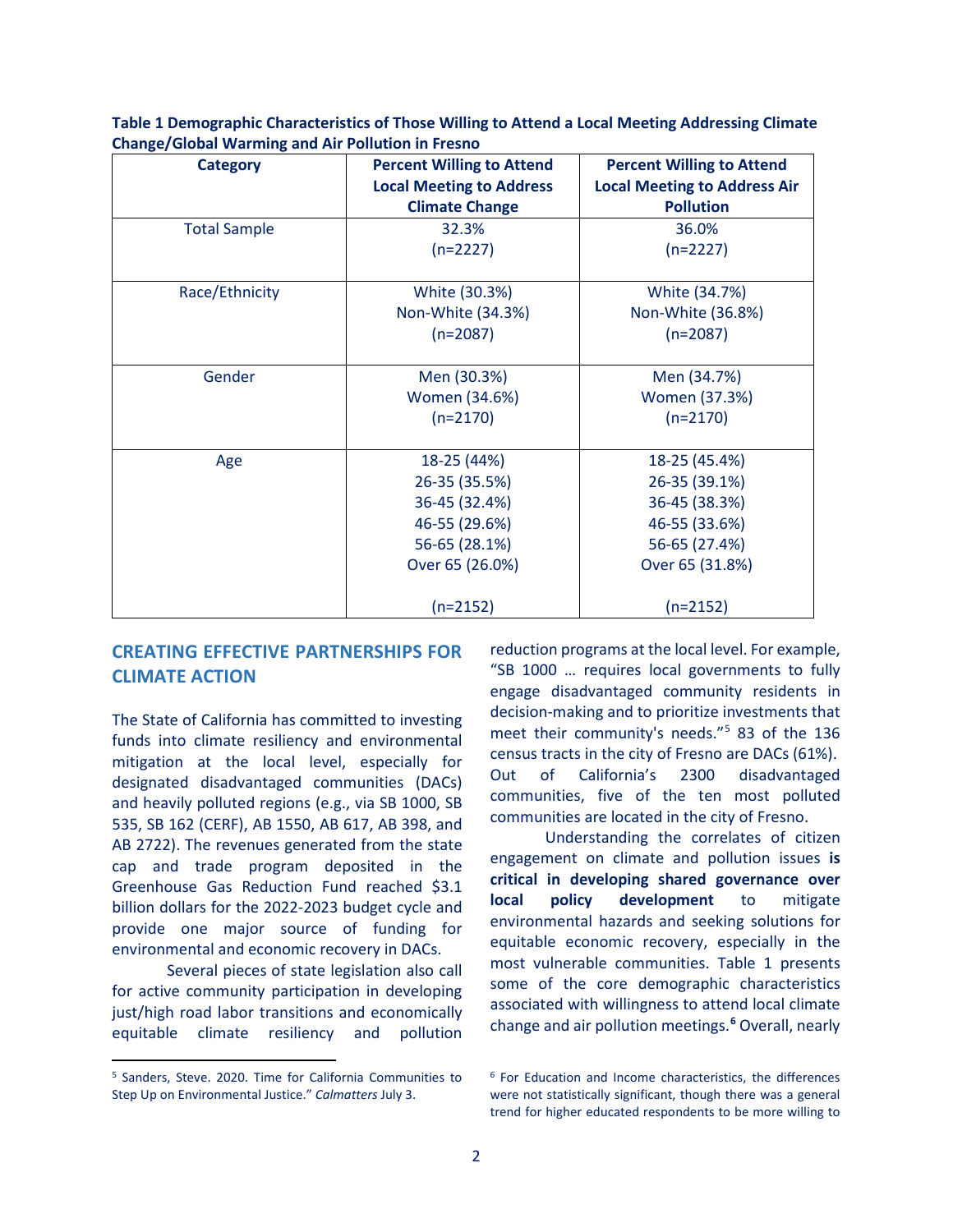| <b>Category</b>     | <b>Percent Willing to Attend</b> | <b>Percent Willing to Attend</b>    |
|---------------------|----------------------------------|-------------------------------------|
|                     | <b>Local Meeting to Address</b>  | <b>Local Meeting to Address Air</b> |
|                     |                                  |                                     |
|                     | <b>Climate Change</b>            | <b>Pollution</b>                    |
| <b>Total Sample</b> | 32.3%                            | 36.0%                               |
|                     | $(n=2227)$                       | $(n=2227)$                          |
|                     |                                  |                                     |
| Race/Ethnicity      | White (30.3%)                    | White (34.7%)                       |
|                     | Non-White (34.3%)                | Non-White (36.8%)                   |
|                     | $(n=2087)$                       | $(n=2087)$                          |
|                     |                                  |                                     |
| Gender              | Men (30.3%)                      | Men (34.7%)                         |
|                     | Women (34.6%)                    | Women (37.3%)                       |
|                     | $(n=2170)$                       | $(n=2170)$                          |
|                     |                                  |                                     |
| Age                 | 18-25 (44%)                      | 18-25 (45.4%)                       |
|                     | 26-35 (35.5%)                    | 26-35 (39.1%)                       |
|                     | 36-45 (32.4%)                    | 36-45 (38.3%)                       |
|                     | 46-55 (29.6%)                    | 46-55 (33.6%)                       |
|                     | 56-65 (28.1%)                    | 56-65 (27.4%)                       |
|                     | Over 65 (26.0%)                  | Over 65 (31.8%)                     |
|                     |                                  |                                     |
|                     | $(n=2152)$                       | $(n=2152)$                          |

**Table 1 Demographic Characteristics of Those Willing to Attend a Local Meeting Addressing Climate Change/Global Warming and Air Pollution in Fresno**

## **CREATING EFFECTIVE PARTNERSHIPS FOR CLIMATE ACTION**

The State of California has committed to investing funds into climate resiliency and environmental mitigation at the local level, especially for designated disadvantaged communities (DACs) and heavily polluted regions (e.g., via SB 1000, SB 535, SB 162 (CERF), AB 1550, AB 617, AB 398, and AB 2722). The revenues generated from the state cap and trade program deposited in the Greenhouse Gas Reduction Fund reached \$3.1 billion dollars for the 2022-2023 budget cycle and provide one major source of funding for environmental and economic recovery in DACs.

Several pieces of state legislation also call for active community participation in developing just/high road labor transitions and economically equitable climate resiliency and pollution

reduction programs at the local level. For example, "SB 1000 … requires local governments to fully engage disadvantaged community residents in decision-making and to prioritize investments that meet their community's needs."[5](#page-1-0) 83 of the 136 census tracts in the city of Fresno are DACs (61%). Out of California's 2300 disadvantaged communities, five of the ten most polluted communities are located in the city of Fresno.

Understanding the correlates of citizen engagement on climate and pollution issues **is critical in developing shared governance over local policy development** to mitigate environmental hazards and seeking solutions for equitable economic recovery, especially in the most vulnerable communities. Table 1 presents some of the core demographic characteristics associated with willingness to attend local climate change and air pollution meetings. **[6](#page-1-0)** Overall, nearly

<span id="page-1-0"></span><sup>5</sup> Sanders, Steve. 2020. Time for California Communities to Step Up on Environmental Justice." *Calmatters* July 3.

<sup>6</sup> For Education and Income characteristics, the differences were not statistically significant, though there was a general trend for higher educated respondents to be more willing to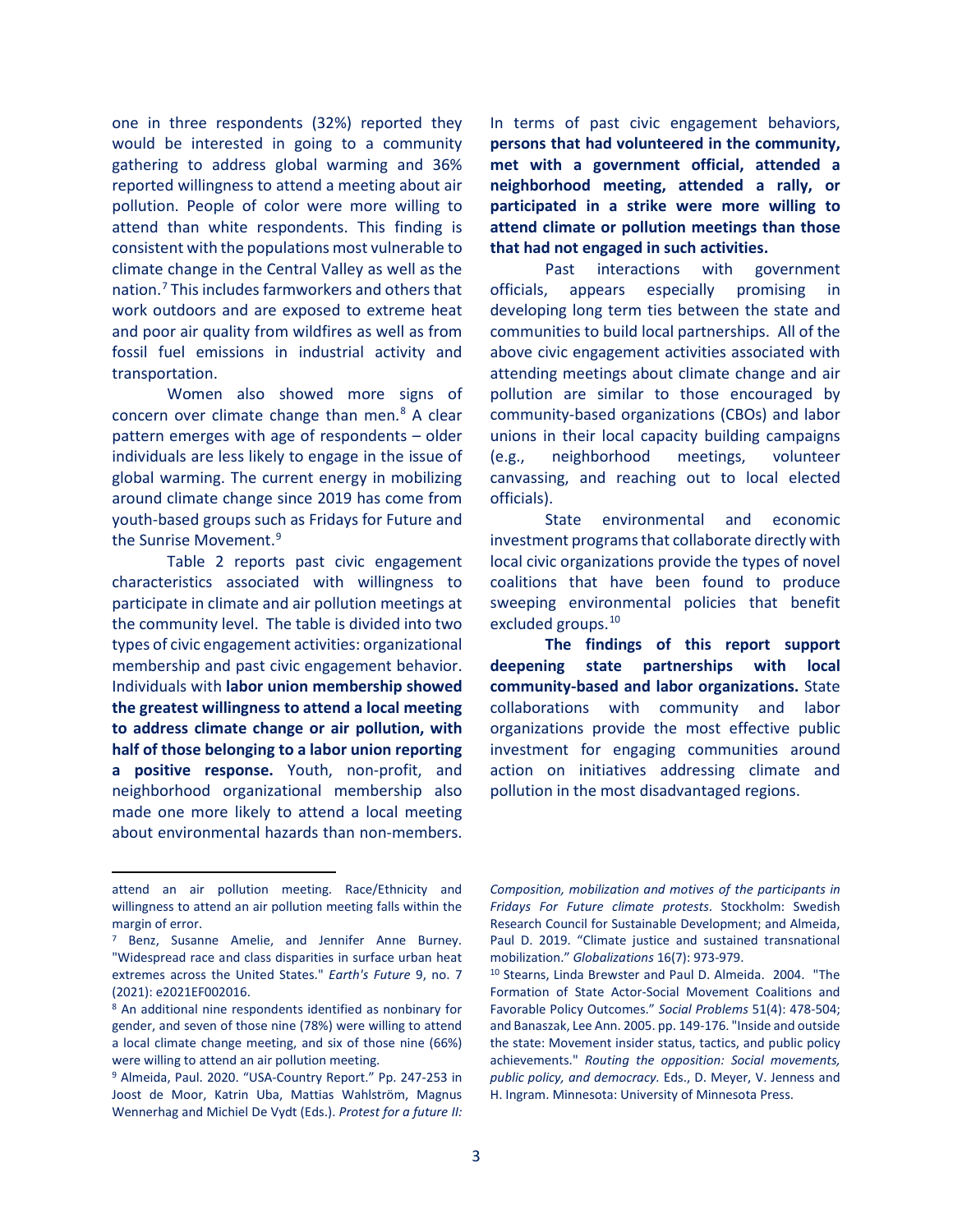one in three respondents (32%) reported they would be interested in going to a community gathering to address global warming and 36% reported willingness to attend a meeting about air pollution. People of color were more willing to attend than white respondents. This finding is consistent with the populations most vulnerable to climate change in the Central Valley as well as the nation.[7](#page-2-0) This includes farmworkers and others that work outdoors and are exposed to extreme heat and poor air quality from wildfires as well as from fossil fuel emissions in industrial activity and transportation.

Women also showed more signs of concern over climate change than men. $8$  A clear pattern emerges with age of respondents – older individuals are less likely to engage in the issue of global warming. The current energy in mobilizing around climate change since 2019 has come from youth-based groups such as Fridays for Future and the Sunrise Movement.<sup>[9](#page-2-2)</sup>

Table 2 reports past civic engagement characteristics associated with willingness to participate in climate and air pollution meetings at the community level. The table is divided into two types of civic engagement activities: organizational membership and past civic engagement behavior. Individuals with **labor union membership showed the greatest willingness to attend a local meeting to address climate change or air pollution, with half of those belonging to a labor union reporting a positive response.** Youth, non-profit, and neighborhood organizational membership also made one more likely to attend a local meeting about environmental hazards than non-members.

In terms of past civic engagement behaviors, **persons that had volunteered in the community, met with a government official, attended a neighborhood meeting, attended a rally, or participated in a strike were more willing to attend climate or pollution meetings than those that had not engaged in such activities.** 

Past interactions with government officials, appears especially promising in developing long term ties between the state and communities to build local partnerships. All of the above civic engagement activities associated with attending meetings about climate change and air pollution are similar to those encouraged by community-based organizations (CBOs) and labor unions in their local capacity building campaigns (e.g., neighborhood meetings, volunteer canvassing, and reaching out to local elected officials).

State environmental and economic investment programs that collaborate directly with local civic organizations provide the types of novel coalitions that have been found to produce sweeping environmental policies that benefit excluded groups.<sup>[10](#page-2-3)</sup>

**The findings of this report support deepening state partnerships with local community-based and labor organizations.** State collaborations with community and labor organizations provide the most effective public investment for engaging communities around action on initiatives addressing climate and pollution in the most disadvantaged regions.

attend an air pollution meeting. Race/Ethnicity and willingness to attend an air pollution meeting falls within the margin of error.<br><sup>7</sup> Benz, Susanne Amelie, and Jennifer Anne Burney.

<span id="page-2-3"></span><span id="page-2-0"></span><sup>&</sup>quot;Widespread race and class disparities in surface urban heat extremes across the United States." *Earth's Future* 9, no. 7 (2021): e2021EF002016.

<span id="page-2-1"></span><sup>8</sup> An additional nine respondents identified as nonbinary for gender, and seven of those nine (78%) were willing to attend a local climate change meeting, and six of those nine (66%) were willing to attend an air pollution meeting.

<span id="page-2-2"></span><sup>9</sup> Almeida, Paul. 2020. "USA-Country Report." Pp. 247-253 in Joost de Moor, Katrin Uba, Mattias Wahlström, Magnus Wennerhag and Michiel De Vydt (Eds.). *Protest for a future II:* 

*Composition, mobilization and motives of the participants in Fridays For Future climate protests*. Stockholm: Swedish Research Council for Sustainable Development; and Almeida, Paul D. 2019. "Climate justice and sustained transnational mobilization." *Globalizations* 16(7): 973-979.

<sup>10</sup> Stearns, Linda Brewster and Paul D. Almeida. 2004. "The Formation of State Actor-Social Movement Coalitions and Favorable Policy Outcomes." *Social Problems* 51(4): 478-504; and Banaszak, Lee Ann. 2005. pp. 149-176. "Inside and outside the state: Movement insider status, tactics, and public policy achievements." *Routing the opposition: Social movements, public policy, and democracy.* Eds., D. Meyer, V. Jenness and H. Ingram. Minnesota: University of Minnesota Press.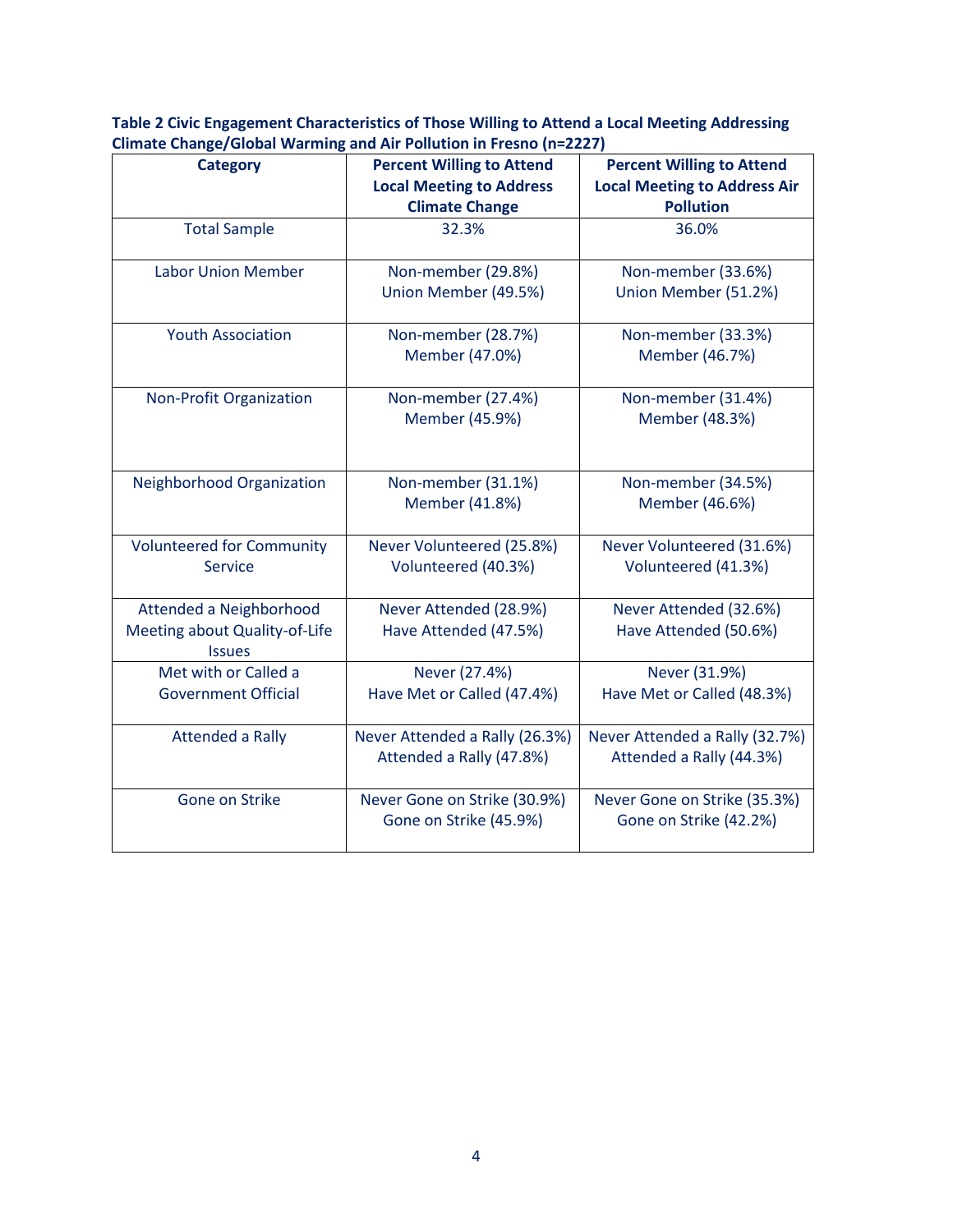**Table 2 Civic Engagement Characteristics of Those Willing to Attend a Local Meeting Addressing Climate Change/Global Warming and Air Pollution in Fresno (n=2227)**

| <b>Category</b>                                | <b>Percent Willing to Attend</b>                           | <b>Percent Willing to Attend</b>                           |
|------------------------------------------------|------------------------------------------------------------|------------------------------------------------------------|
|                                                | <b>Local Meeting to Address</b>                            | <b>Local Meeting to Address Air</b>                        |
|                                                | <b>Climate Change</b>                                      | <b>Pollution</b>                                           |
| <b>Total Sample</b>                            | 32.3%                                                      | 36.0%                                                      |
| <b>Labor Union Member</b>                      | Non-member (29.8%)                                         | Non-member (33.6%)                                         |
|                                                | Union Member (49.5%)                                       | Union Member (51.2%)                                       |
| <b>Youth Association</b>                       | Non-member (28.7%)                                         | Non-member (33.3%)                                         |
|                                                | Member (47.0%)                                             | Member (46.7%)                                             |
| <b>Non-Profit Organization</b>                 | Non-member (27.4%)                                         | Non-member (31.4%)                                         |
|                                                | Member (45.9%)                                             | Member (48.3%)                                             |
| Neighborhood Organization                      | Non-member (31.1%)                                         | Non-member (34.5%)                                         |
|                                                | Member (41.8%)                                             | Member (46.6%)                                             |
| <b>Volunteered for Community</b>               | Never Volunteered (25.8%)                                  | Never Volunteered (31.6%)                                  |
| <b>Service</b>                                 | Volunteered (40.3%)                                        | Volunteered (41.3%)                                        |
| Attended a Neighborhood                        | Never Attended (28.9%)                                     | Never Attended (32.6%)                                     |
| Meeting about Quality-of-Life<br><b>Issues</b> | Have Attended (47.5%)                                      | Have Attended (50.6%)                                      |
| Met with or Called a                           | Never (27.4%)                                              | Never (31.9%)                                              |
| <b>Government Official</b>                     | Have Met or Called (47.4%)                                 | Have Met or Called (48.3%)                                 |
| <b>Attended a Rally</b>                        | Never Attended a Rally (26.3%)<br>Attended a Rally (47.8%) | Never Attended a Rally (32.7%)<br>Attended a Rally (44.3%) |
| Gone on Strike                                 | Never Gone on Strike (30.9%)<br>Gone on Strike (45.9%)     | Never Gone on Strike (35.3%)<br>Gone on Strike (42.2%)     |